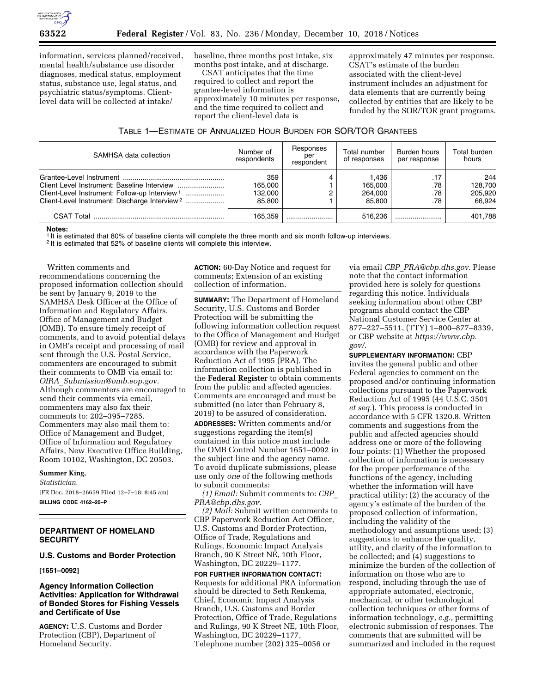

information, services planned/received, mental health/substance use disorder diagnoses, medical status, employment status, substance use, legal status, and psychiatric status/symptoms. Clientlevel data will be collected at intake/

baseline, three months post intake, six months post intake, and at discharge.

CSAT anticipates that the time required to collect and report the grantee-level information is approximately 10 minutes per response, and the time required to collect and report the client-level data is

approximately 47 minutes per response. CSAT's estimate of the burden associated with the client-level instrument includes an adjustment for data elements that are currently being collected by entities that are likely to be funded by the SOR/TOR grant programs.

| Table 1—Estimate of Annualized Hour Burden for SOR/TOR Grantees |  |
|-----------------------------------------------------------------|--|
|-----------------------------------------------------------------|--|

| SAMHSA data collection                                    | Number of<br>respondents  | Responses<br>per<br>respondent | Total number<br>of responses | Burden hours<br>per response | Total burden<br>hours     |
|-----------------------------------------------------------|---------------------------|--------------------------------|------------------------------|------------------------------|---------------------------|
| Client-Level Instrument: Follow-up Interview <sup>1</sup> | 359<br>165.000<br>132,000 |                                | 1.436<br>165.000<br>264.000  | .17<br>.78<br>.78            | 244<br>128.700<br>205.920 |
| Client-Level Instrument: Discharge Interview <sup>2</sup> | 85.800                    |                                | 85.800                       | .78                          | 66.924                    |
|                                                           | 165.359                   |                                | 516.236                      |                              | 401.788                   |

**Notes:** 

1 It is estimated that 80% of baseline clients will complete the three month and six month follow-up interviews.

2 It is estimated that 52% of baseline clients will complete this interview.

Written comments and recommendations concerning the proposed information collection should be sent by January 9, 2019 to the SAMHSA Desk Officer at the Office of Information and Regulatory Affairs, Office of Management and Budget (OMB). To ensure timely receipt of comments, and to avoid potential delays in OMB's receipt and processing of mail sent through the U.S. Postal Service, commenters are encouraged to submit their comments to OMB via email to: *OIRA*\_*[Submission@omb.eop.gov.](mailto:OIRA_Submission@omb.eop.gov)*  Although commenters are encouraged to send their comments via email, commenters may also fax their comments to: 202–395–7285. Commenters may also mail them to: Office of Management and Budget, Office of Information and Regulatory Affairs, New Executive Office Building, Room 10102, Washington, DC 20503.

#### **Summer King,**

*Statistician.*  [FR Doc. 2018–26659 Filed 12–7–18; 8:45 am] **BILLING CODE 4162–20–P** 

# **DEPARTMENT OF HOMELAND SECURITY**

#### **U.S. Customs and Border Protection**

#### **[1651–0092]**

### **Agency Information Collection Activities: Application for Withdrawal of Bonded Stores for Fishing Vessels and Certificate of Use**

**AGENCY:** U.S. Customs and Border Protection (CBP), Department of Homeland Security.

**ACTION:** 60-Day Notice and request for comments; Extension of an existing collection of information.

**SUMMARY:** The Department of Homeland Security, U.S. Customs and Border Protection will be submitting the following information collection request to the Office of Management and Budget (OMB) for review and approval in accordance with the Paperwork Reduction Act of 1995 (PRA). The information collection is published in the **Federal Register** to obtain comments from the public and affected agencies. Comments are encouraged and must be submitted (no later than February 8, 2019) to be assured of consideration.

**ADDRESSES:** Written comments and/or suggestions regarding the item(s) contained in this notice must include the OMB Control Number 1651–0092 in the subject line and the agency name. To avoid duplicate submissions, please use only *one* of the following methods to submit comments:

*(1) Email:* Submit comments to: *[CBP](mailto:CBP_PRA@cbp.dhs.gov)*\_ *[PRA@cbp.dhs.gov.](mailto:CBP_PRA@cbp.dhs.gov)* 

*(2) Mail:* Submit written comments to CBP Paperwork Reduction Act Officer, U.S. Customs and Border Protection, Office of Trade, Regulations and Rulings, Economic Impact Analysis Branch, 90 K Street NE, 10th Floor, Washington, DC 20229–1177.

**FOR FURTHER INFORMATION CONTACT:**  Requests for additional PRA information should be directed to Seth Renkema, Chief, Economic Impact Analysis Branch, U.S. Customs and Border Protection, Office of Trade, Regulations and Rulings, 90 K Street NE, 10th Floor, Washington, DC 20229–1177, Telephone number (202) 325–0056 or

via email *CBP*\_*[PRA@cbp.dhs.gov.](mailto:CBP_PRA@cbp.dhs.gov)* Please note that the contact information provided here is solely for questions regarding this notice. Individuals seeking information about other CBP programs should contact the CBP National Customer Service Center at 877–227–5511, (TTY) 1–800–877–8339, or CBP website at *[https://www.cbp.](https://www.cbp.gov/)  [gov/](https://www.cbp.gov/)*.

**SUPPLEMENTARY INFORMATION:** CBP invites the general public and other Federal agencies to comment on the proposed and/or continuing information collections pursuant to the Paperwork Reduction Act of 1995 (44 U.S.C. 3501 *et seq.*). This process is conducted in accordance with 5 CFR 1320.8. Written comments and suggestions from the public and affected agencies should address one or more of the following four points: (1) Whether the proposed collection of information is necessary for the proper performance of the functions of the agency, including whether the information will have practical utility; (2) the accuracy of the agency's estimate of the burden of the proposed collection of information, including the validity of the methodology and assumptions used; (3) suggestions to enhance the quality, utility, and clarity of the information to be collected; and (4) suggestions to minimize the burden of the collection of information on those who are to respond, including through the use of appropriate automated, electronic, mechanical, or other technological collection techniques or other forms of information technology, *e.g.,* permitting electronic submission of responses. The comments that are submitted will be summarized and included in the request